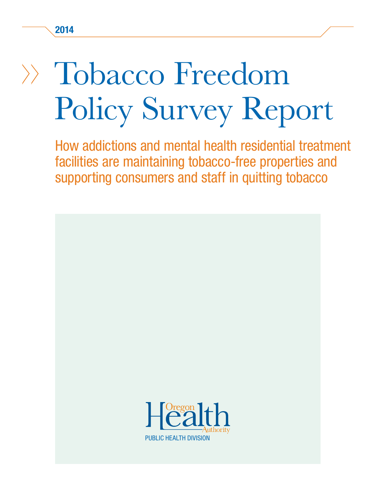# Tobacco Freedom Policy Survey Report

How addictions and mental health residential treatment facilities are maintaining tobacco-free properties and supporting consumers and staff in quitting tobacco

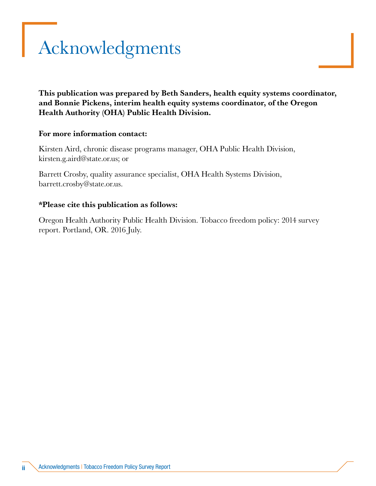# <span id="page-1-0"></span>Acknowledgments

This publication was prepared by Beth Sanders, health equity systems coordinator, and Bonnie Pickens, interim health equity systems coordinator, of the Oregon Health Authority (OHA) Public Health Division.

#### For more information contact:

Kirsten Aird, chronic disease programs manager, OHA Public Health Division, kirsten.g.aird@state.or.us; or

Barrett Crosby, quality assurance specialist, OHA Health Systems Division, barrett.crosby@state.or.us.

#### \*Please cite this publication as follows:

Oregon Health Authority Public Health Division. Tobacco freedom policy: 2014 survey report. Portland, OR. 2016 July.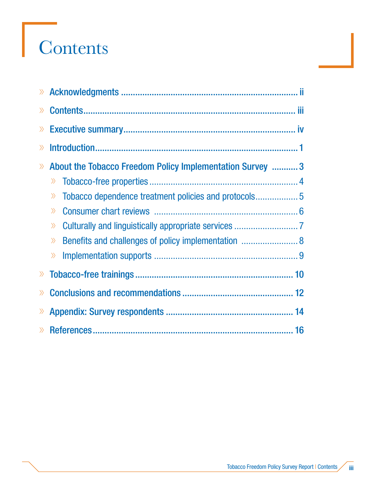# **Contents**

| $\gg$                        |                                                              |  |  |  |  |
|------------------------------|--------------------------------------------------------------|--|--|--|--|
| $\left\langle \right\rangle$ |                                                              |  |  |  |  |
| $\gg$                        |                                                              |  |  |  |  |
| $\gg$                        | About the Tobacco Freedom Policy Implementation Survey  3    |  |  |  |  |
|                              | $\rangle$                                                    |  |  |  |  |
|                              | $\gg$                                                        |  |  |  |  |
|                              | $\gg$                                                        |  |  |  |  |
|                              | $\left\langle \right\rangle$                                 |  |  |  |  |
|                              | Benefits and challenges of policy implementation  8<br>$\gg$ |  |  |  |  |
|                              | $\rangle$                                                    |  |  |  |  |
| $\left\langle \right\rangle$ |                                                              |  |  |  |  |
| $\rangle$                    |                                                              |  |  |  |  |
| $\gg$                        |                                                              |  |  |  |  |
|                              |                                                              |  |  |  |  |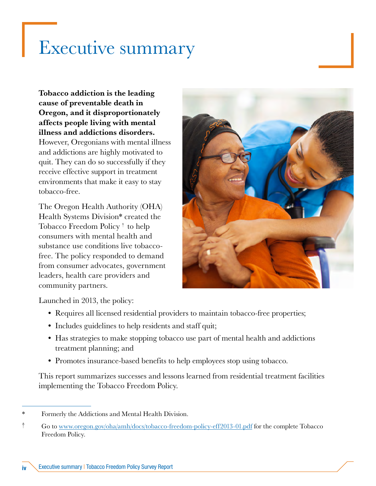### <span id="page-3-0"></span>Executive summary

### Tobacco addiction is the leading cause of preventable death in Oregon, and it disproportionately affects people living with mental illness and addictions disorders.

However, Oregonians with mental illness and addictions are highly motivated to quit. They can do so successfully if they receive effective support in treatment environments that make it easy to stay tobacco-free.

The Oregon Health Authority (OHA) Health Systems Division\* created the Tobacco Freedom Policy † to help consumers with mental health and substance use conditions live tobaccofree. The policy responded to demand from consumer advocates, government leaders, health care providers and community partners.



Launched in 2013, the policy:

- Requires all licensed residential providers to maintain tobacco-free properties;
- Includes guidelines to help residents and staff quit;
- Has strategies to make stopping tobacco use part of mental health and addictions treatment planning; and
- Promotes insurance-based benefits to help employees stop using tobacco.

This report summarizes successes and lessons learned from residential treatment facilities implementing the Tobacco Freedom Policy.

Formerly the Addictions and Mental Health Division.

<sup>†</sup> Go to [www.oregon.gov/oha/amh/docs/tobacco-freedom-policy-eff2013-01.pdf](http://www.oregon.gov/oha/amh/docs/tobacco-freedom-policy-eff2013-01.pdf) for the complete Tobacco Freedom Policy.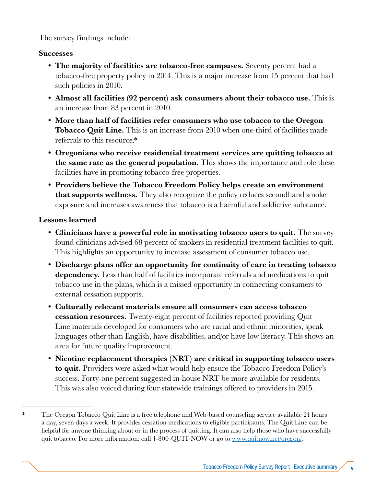The survey findings include:

### **Successes**

- The majority of facilities are tobacco-free campuses. Seventy percent had a tobacco-free property policy in 2014. This is a major increase from 15 percent that had such policies in 2010.
- Almost all facilities (92 percent) ask consumers about their tobacco use. This is an increase from 83 percent in 2010.
- More than half of facilities refer consumers who use tobacco to the Oregon **Tobacco Quit Line.** This is an increase from 2010 when one-third of facilities made referrals to this resource.\*
- Oregonians who receive residential treatment services are quitting tobacco at the same rate as the general population. This shows the importance and role these facilities have in promoting tobacco-free properties.
- Providers believe the Tobacco Freedom Policy helps create an environment **that supports wellness.** They also recognize the policy reduces secondhand smoke exposure and increases awareness that tobacco is a harmful and addictive substance.

#### Lessons learned

- Clinicians have a powerful role in motivating tobacco users to quit. The survey found clinicians advised 68 percent of smokers in residential treatment facilities to quit. This highlights an opportunity to increase assessment of consumer tobacco use.
- Discharge plans offer an opportunity for continuity of care in treating tobacco dependency. Less than half of facilities incorporate referrals and medications to quit tobacco use in the plans, which is a missed opportunity in connecting consumers to external cessation supports.
- Culturally relevant materials ensure all consumers can access tobacco **cessation resources.** Twenty-eight percent of facilities reported providing Quit Line materials developed for consumers who are racial and ethnic minorities, speak languages other than English, have disabilities, and/or have low literacy. This shows an area for future quality improvement.
- Nicotine replacement therapies (NRT) are critical in supporting tobacco users to quit. Providers were asked what would help ensure the Tobacco Freedom Policy's success. Forty-one percent suggested in-house NRT be more available for residents. This was also voiced during four statewide trainings offered to providers in 2015.

<sup>\*</sup> The Oregon Tobacco Quit Line is a free telephone and Web-based counseling service available 24 hours a day, seven days a week. It provides cessation medications to eligible participants. The Quit Line can be helpful for anyone thinking about or in the process of quitting. It can also help those who have successfully quit tobacco. For more information: call 1-800-QUIT-NOW or go to [www.quitnow.net/oregon/](http://www.quitnow.net/oregon/).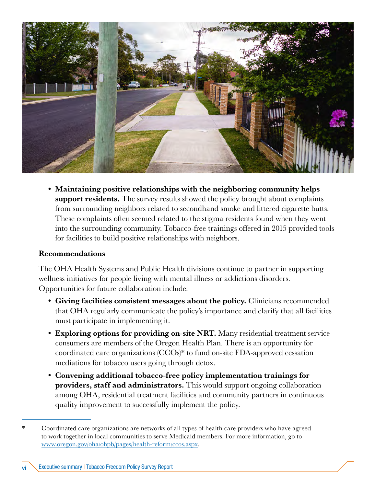

• Maintaining positive relationships with the neighboring community helps support residents. The survey results showed the policy brought about complaints from surrounding neighbors related to secondhand smoke and littered cigarette butts. These complaints often seemed related to the stigma residents found when they went into the surrounding community. Tobacco-free trainings offered in 2015 provided tools for facilities to build positive relationships with neighbors.

#### Recommendations

The OHA Health Systems and Public Health divisions continue to partner in supporting wellness initiatives for people living with mental illness or addictions disorders. Opportunities for future collaboration include:

- Giving facilities consistent messages about the policy. Clinicians recommended that OHA regularly communicate the policy's importance and clarify that all facilities must participate in implementing it.
- Exploring options for providing on-site NRT. Many residential treatment service consumers are members of the Oregon Health Plan. There is an opportunity for coordinated care organizations (CCOs)\* to fund on-site FDA-approved cessation mediations for tobacco users going through detox.
- Convening additional tobacco-free policy implementation trainings for providers, staff and administrators. This would support ongoing collaboration among OHA, residential treatment facilities and community partners in continuous quality improvement to successfully implement the policy.

<sup>\*</sup> Coordinated care organizations are networks of all types of health care providers who have agreed to work together in local communities to serve Medicaid members. For more information, go to www.oregon.gov/oha/ohpb/pages/health-reform/ccos.aspx.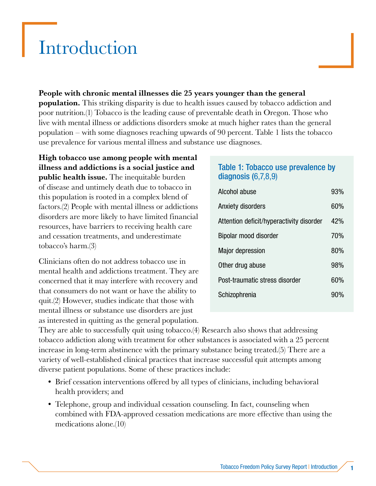### <span id="page-6-0"></span>Introduction

### People with chronic mental illnesses die 25 years younger than the general

**population.** This striking disparity is due to health issues caused by tobacco addiction and poor nutrition.(1) Tobacco is the leading cause of preventable death in Oregon. Those who live with mental illness or addictions disorders smoke at much higher rates than the general population – with some diagnoses reaching upwards of 90 percent. Table 1 lists the tobacco use prevalence for various mental illness and substance use diagnoses.

High tobacco use among people with mental illness and addictions is a social justice and public health issue. The inequitable burden of disease and untimely death due to tobacco in this population is rooted in a complex blend of factors.(2) People with mental illness or addictions disorders are more likely to have limited financial resources, have barriers to receiving health care and cessation treatments, and underestimate tobacco's harm.(3)

Clinicians often do not address tobacco use in mental health and addictions treatment. They are concerned that it may interfere with recovery and that consumers do not want or have the ability to quit.(2) However, studies indicate that those with mental illness or substance use disorders are just as interested in quitting as the general population.

### Table 1: Tobacco use prevalence by diagnosis (6,7,8,9)

| Alcohol abuse                            |  |  |
|------------------------------------------|--|--|
| Anxiety disorders                        |  |  |
| Attention deficit/hyperactivity disorder |  |  |
| Bipolar mood disorder                    |  |  |
| <b>Major depression</b>                  |  |  |
| Other drug abuse                         |  |  |
| Post-traumatic stress disorder           |  |  |
| Schizophrenia                            |  |  |

They are able to successfully quit using tobacco.(4) Research also shows that addressing tobacco addiction along with treatment for other substances is associated with a 25 percent increase in long-term abstinence with the primary substance being treated.(5) There are a variety of well-established clinical practices that increase successful quit attempts among diverse patient populations. Some of these practices include:

- Brief cessation interventions offered by all types of clinicians, including behavioral health providers; and
- Telephone, group and individual cessation counseling. In fact, counseling when combined with FDA-approved cessation medications are more effective than using the medications alone.(10)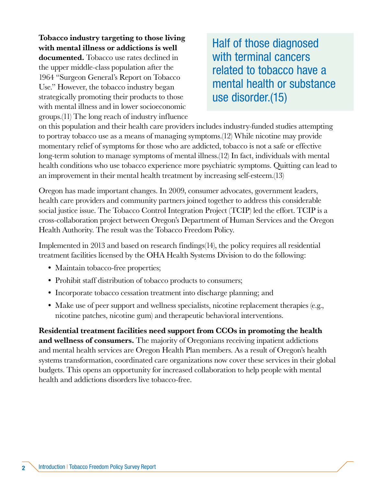Tobacco industry targeting to those living with mental illness or addictions is well documented. Tobacco use rates declined in the upper middle-class population after the 1964 "Surgeon General's Report on Tobacco Use." However, the tobacco industry began strategically promoting their products to those with mental illness and in lower socioeconomic groups.(11) The long reach of industry influence

Half of those diagnosed with terminal cancers related to tobacco have a mental health or substance use disorder.(15)

on this population and their health care providers includes industry-funded studies attempting to portray tobacco use as a means of managing symptoms.(12) While nicotine may provide momentary relief of symptoms for those who are addicted, tobacco is not a safe or effective long-term solution to manage symptoms of mental illness.(12) In fact, individuals with mental health conditions who use tobacco experience more psychiatric symptoms. Quitting can lead to an improvement in their mental health treatment by increasing self-esteem.(13)

Oregon has made important changes. In 2009, consumer advocates, government leaders, health care providers and community partners joined together to address this considerable social justice issue. The Tobacco Control Integration Project (TCIP) led the effort. TCIP is a cross-collaboration project between Oregon's Department of Human Services and the Oregon Health Authority. The result was the Tobacco Freedom Policy.

Implemented in 2013 and based on research findings(14), the policy requires all residential treatment facilities licensed by the OHA Health Systems Division to do the following:

- Maintain tobacco-free properties;
- Prohibit staff distribution of tobacco products to consumers;
- Incorporate tobacco cessation treatment into discharge planning; and
- Make use of peer support and wellness specialists, nicotine replacement therapies (e.g., nicotine patches, nicotine gum) and therapeutic behavioral interventions.

Residential treatment facilities need support from CCOs in promoting the health and wellness of consumers. The majority of Oregonians receiving inpatient addictions and mental health services are Oregon Health Plan members. As a result of Oregon's health systems transformation, coordinated care organizations now cover these services in their global budgets. This opens an opportunity for increased collaboration to help people with mental health and addictions disorders live tobacco-free.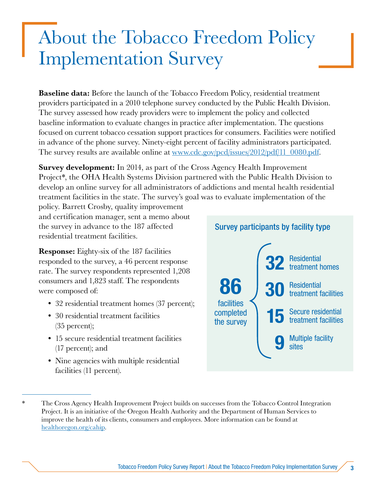## <span id="page-8-0"></span>About the Tobacco Freedom Policy Implementation Survey

**Baseline data:** Before the launch of the Tobacco Freedom Policy, residential treatment providers participated in a 2010 telephone survey conducted by the Public Health Division. The survey assessed how ready providers were to implement the policy and collected baseline information to evaluate changes in practice after implementation. The questions focused on current tobacco cessation support practices for consumers. Facilities were notified in advance of the phone survey. Ninety-eight percent of facility administrators participated. The survey results are available online at [www.cdc.gov/pcd/issues/2012/pdf/11\\_0080.pdf.](http://www.cdc.gov/pcd/issues/2012/pdf/11_0080.pdf)

**Survey development:** In 2014, as part of the Cross Agency Health Improvement Project\*, the OHA Health Systems Division partnered with the Public Health Division to develop an online survey for all administrators of addictions and mental health residential treatment facilities in the state. The survey's goal was to evaluate implementation of the

policy. Barrett Crosby, quality improvement and certification manager, sent a memo about the survey in advance to the 187 affected residential treatment facilities.

Response: Eighty-six of the 187 facilities responded to the survey, a 46 percent response rate. The survey respondents represented 1,208 consumers and 1,823 staff. The respondents were composed of:

- 32 residential treatment homes (37 percent);
- 30 residential treatment facilities (35 percent);
- 15 secure residential treatment facilities (17 percent); and
- Nine agencies with multiple residential facilities (11 percent).



<sup>\*</sup> The Cross Agency Health Improvement Project builds on successes from the Tobacco Control Integration Project. It is an initiative of the Oregon Health Authority and the Department of Human Services to improve the health of its clients, consumers and employees. More information can be found at [healthoregon.org/cahip.](http://healthoregon.org/cahip)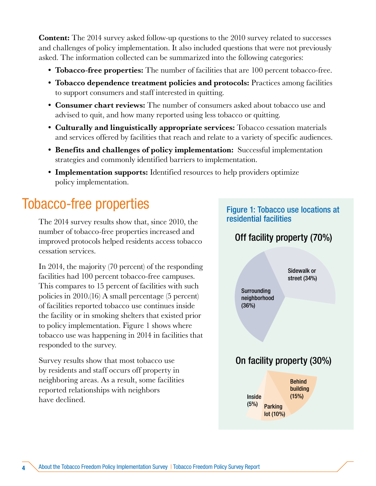<span id="page-9-0"></span>**Content:** The 2014 survey asked follow-up questions to the 2010 survey related to successes and challenges of policy implementation. It also included questions that were not previously asked. The information collected can be summarized into the following categories:

- Tobacco-free properties: The number of facilities that are 100 percent tobacco-free.
- Tobacco dependence treatment policies and protocols: Practices among facilities to support consumers and staff interested in quitting.
- Consumer chart reviews: The number of consumers asked about tobacco use and advised to quit, and how many reported using less tobacco or quitting.
- Culturally and linguistically appropriate services: Tobacco cessation materials and services offered by facilities that reach and relate to a variety of specific audiences.
- Benefits and challenges of policy implementation: Successful implementation strategies and commonly identified barriers to implementation.
- Implementation supports: Identified resources to help providers optimize policy implementation.

### Tobacco-free properties

The 2014 survey results show that, since 2010, the number of tobacco-free properties increased and improved protocols helped residents access tobacco cessation services.

In 2014, the majority (70 percent) of the responding facilities had 100 percent tobacco-free campuses. This compares to 15 percent of facilities with such policies in 2010.(16) A small percentage (5 percent) of facilities reported tobacco use continues inside the facility or in smoking shelters that existed prior to policy implementation. Figure 1 shows where tobacco use was happening in 2014 in facilities that responded to the survey.

Survey results show that most tobacco use by residents and staff occurs off property in neighboring areas. As a result, some facilities reported relationships with neighbors have declined.

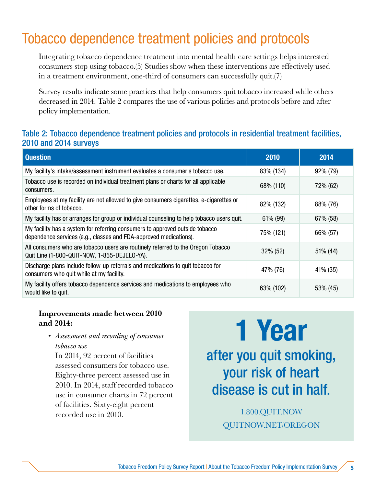### <span id="page-10-0"></span>Tobacco dependence treatment policies and protocols

Integrating tobacco dependence treatment into mental health care settings helps interested consumers stop using tobacco.(5) Studies show when these interventions are effectively used in a treatment environment, one-third of consumers can successfully quit.(7)

Survey results indicate some practices that help consumers quit tobacco increased while others decreased in 2014. Table 2 compares the use of various policies and protocols before and after policy implementation.

### Table 2: Tobacco dependence treatment policies and protocols in residential treatment facilities, 2010 and 2014 surveys

| <b>Question</b>                                                                                                                                   | 2010      | 2014     |
|---------------------------------------------------------------------------------------------------------------------------------------------------|-----------|----------|
| My facility's intake/assessment instrument evaluates a consumer's tobacco use.                                                                    | 83% (134) | 92% (79) |
| Tobacco use is recorded on individual treatment plans or charts for all applicable<br>consumers.                                                  | 68% (110) | 72% (62) |
| Employees at my facility are not allowed to give consumers cigarettes, e-cigarettes or<br>other forms of tobacco.                                 | 82% (132) | 88% (76) |
| My facility has or arranges for group or individual counseling to help tobacco users quit.                                                        | 61% (99)  | 67% (58) |
| My facility has a system for referring consumers to approved outside tobacco<br>dependence services (e.g., classes and FDA-approved medications). | 75% (121) | 66% (57) |
| All consumers who are tobacco users are routinely referred to the Oregon Tobacco<br>Quit Line (1-800-QUIT-NOW, 1-855-DEJELO-YA).                  | 32% (52)  | 51% (44) |
| Discharge plans include follow-up referrals and medications to quit tobacco for<br>consumers who quit while at my facility.                       | 47% (76)  | 41% (35) |
| My facility offers tobacco dependence services and medications to employees who<br>would like to quit.                                            | 63% (102) | 53% (45) |

#### Improvements made between 2010 and 2014:

*• Assessment and recording of consumer tobacco use*

In 2014, 92 percent of facilities assessed consumers for tobacco use. Eighty-three percent assessed use in 2010. In 2014, staff recorded tobacco use in consumer charts in 72 percent of facilities. Sixty-eight percent recorded use in 2010.

# 1 Year after you quit smoking,

your risk of heart disease is cut in half.

> 1.800.QUIT.NOW QUITNOW.NET/OREGON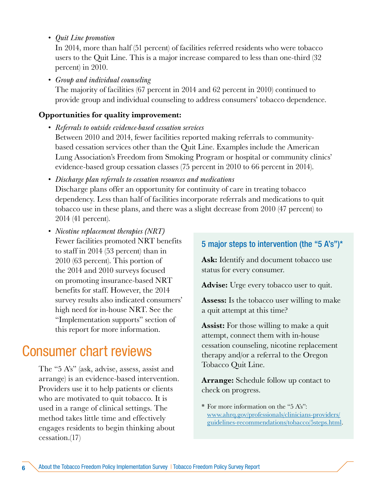<span id="page-11-0"></span>*• Quit Line promotion*

In 2014, more than half (51 percent) of facilities referred residents who were tobacco users to the Quit Line. This is a major increase compared to less than one-third (32 percent) in 2010.

*• Group and individual counseling*

The majority of facilities (67 percent in 2014 and 62 percent in 2010) continued to provide group and individual counseling to address consumers' tobacco dependence.

### Opportunities for quality improvement:

- *• Referrals to outside evidence-based cessation services* Between 2010 and 2014, fewer facilities reported making referrals to communitybased cessation services other than the Quit Line. Examples include the American Lung Association's Freedom from Smoking Program or hospital or community clinics' evidence-based group cessation classes (75 percent in 2010 to 66 percent in 2014).
- *• Discharge plan referrals to cessation resources and medications* Discharge plans offer an opportunity for continuity of care in treating tobacco dependency. Less than half of facilities incorporate referrals and medications to quit tobacco use in these plans, and there was a slight decrease from 2010 (47 percent) to 2014 (41 percent).
- *• Nicotine replacement therapies (NRT)*  Fewer facilities promoted NRT benefits to staff in 2014 (53 percent) than in 2010 (63 percent). This portion of the 2014 and 2010 surveys focused on promoting insurance-based NRT benefits for staff. However, the 2014 survey results also indicated consumers' high need for in-house NRT. See the "Implementation supports" section of this report for more information.

### Consumer chart reviews

The "5 A's" (ask, advise, assess, assist and arrange) is an evidence-based intervention. Providers use it to help patients or clients who are motivated to quit tobacco. It is used in a range of clinical settings. The method takes little time and effectively engages residents to begin thinking about cessation.(17)

### 5 major steps to intervention (the "5 A's")\*

Ask: Identify and document tobacco use status for every consumer.

Advise: Urge every tobacco user to quit.

Assess: Is the tobacco user willing to make a quit attempt at this time?

**Assist:** For those willing to make a quit attempt, connect them with in-house cessation counseling, nicotine replacement therapy and/or a referral to the Oregon Tobacco Quit Line.

**Arrange:** Schedule follow up contact to check on progress.

\* For more information on the "5 A's": [www.ahrq.gov/professionals/clinicians-providers/](http://www.ahrq.gov/professionals/clinicians-providers/guidelines-recommendations/tobacco/5steps.html) [guidelines-recommendations/tobacco/5steps.html](http://www.ahrq.gov/professionals/clinicians-providers/guidelines-recommendations/tobacco/5steps.html).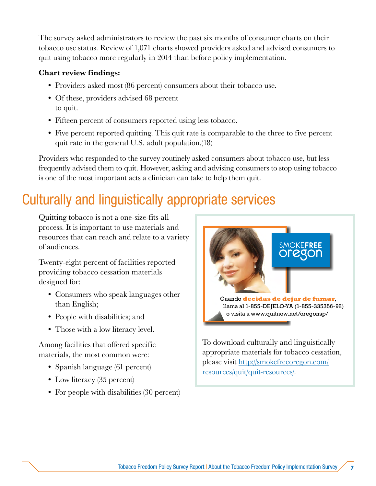<span id="page-12-0"></span>The survey asked administrators to review the past six months of consumer charts on their tobacco use status. Review of 1,071 charts showed providers asked and advised consumers to quit using tobacco more regularly in 2014 than before policy implementation.

#### Chart review findings:

- Providers asked most (86 percent) consumers about their tobacco use.
- Of these, providers advised 68 percent to quit.
- Fifteen percent of consumers reported using less tobacco.
- Five percent reported quitting. This quit rate is comparable to the three to five percent quit rate in the general U.S. adult population.(18)

Providers who responded to the survey routinely asked consumers about tobacco use, but less frequently advised them to quit. However, asking and advising consumers to stop using tobacco is one of the most important acts a clinician can take to help them quit.

### Culturally and linguistically appropriate services

Quitting tobacco is not a one-size-fits-all process. It is important to use materials and resources that can reach and relate to a variety of audiences.

Twenty-eight percent of facilities reported providing tobacco cessation materials designed for:

- Consumers who speak languages other than English;
- People with disabilities; and
- Those with a low literacy level.

Among facilities that offered specific materials, the most common were:

- Spanish language (61 percent)
- Low literacy (35 percent)
- For people with disabilities (30 percent)



To download culturally and linguistically appropriate materials for tobacco cessation, please visit [http://smokefreeoregon.com/](http://smokefreeoregon.com/resources/quit/quit-resources/) [resources/quit/quit-resources/.](http://smokefreeoregon.com/resources/quit/quit-resources/)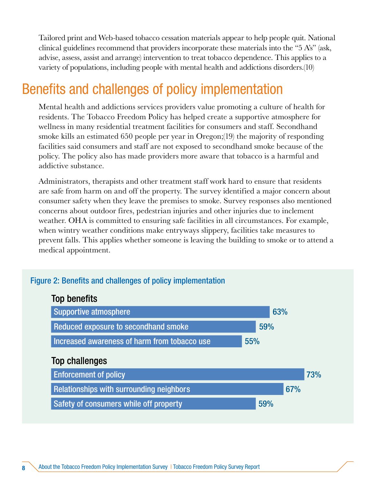<span id="page-13-0"></span>Tailored print and Web-based tobacco cessation materials appear to help people quit. National clinical guidelines recommend that providers incorporate these materials into the "5 A's" (ask, advise, assess, assist and arrange) intervention to treat tobacco dependence. This applies to a variety of populations, including people with mental health and addictions disorders.(10)

### Benefits and challenges of policy implementation

Mental health and addictions services providers value promoting a culture of health for residents. The Tobacco Freedom Policy has helped create a supportive atmosphere for wellness in many residential treatment facilities for consumers and staff. Secondhand smoke kills an estimated 650 people per year in Oregon;(19) the majority of responding facilities said consumers and staff are not exposed to secondhand smoke because of the policy. The policy also has made providers more aware that tobacco is a harmful and addictive substance.

Administrators, therapists and other treatment staff work hard to ensure that residents are safe from harm on and off the property. The survey identified a major concern about consumer safety when they leave the premises to smoke. Survey responses also mentioned concerns about outdoor fires, pedestrian injuries and other injuries due to inclement weather. OHA is committed to ensuring safe facilities in all circumstances. For example, when wintry weather conditions make entryways slippery, facilities take measures to prevent falls. This applies whether someone is leaving the building to smoke or to attend a medical appointment.

#### Figure 2: Benefits and challenges of policy implementation

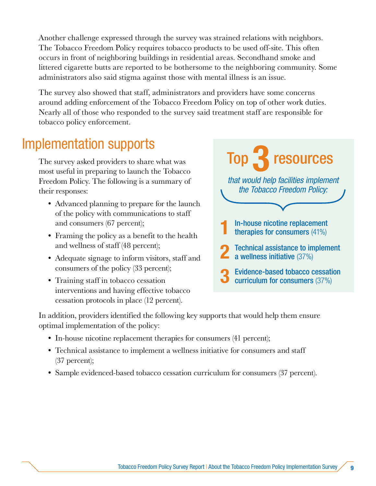<span id="page-14-0"></span>Another challenge expressed through the survey was strained relations with neighbors. The Tobacco Freedom Policy requires tobacco products to be used off-site. This often occurs in front of neighboring buildings in residential areas. Secondhand smoke and littered cigarette butts are reported to be bothersome to the neighboring community. Some administrators also said stigma against those with mental illness is an issue.

The survey also showed that staff, administrators and providers have some concerns around adding enforcement of the Tobacco Freedom Policy on top of other work duties. Nearly all of those who responded to the survey said treatment staff are responsible for tobacco policy enforcement.

### Implementation supports

The survey asked providers to share what was most useful in preparing to launch the Tobacco Freedom Policy. The following is a summary of their responses:

- Advanced planning to prepare for the launch of the policy with communications to staff and consumers (67 percent);
- Framing the policy as a benefit to the health and wellness of staff (48 percent);
- Adequate signage to inform visitors, staff and consumers of the policy (33 percent);
- Training staff in tobacco cessation interventions and having effective tobacco cessation protocols in place (12 percent).

**1** In-house nicotine replacement<br>therapies for consumers (41%) **Technical assistance to implement** a wellness initiative (37%) 3 Evidence-based tobacco cessation curriculum for consumers (37%) *that would help facilities implement the Tobacco Freedom Policy:* Top  $\rightarrow$  resources

In addition, providers identified the following key supports that would help them ensure optimal implementation of the policy:

- In-house nicotine replacement therapies for consumers (41 percent);
- Technical assistance to implement a wellness initiative for consumers and staff (37 percent);
- Sample evidenced-based tobacco cessation curriculum for consumers (37 percent).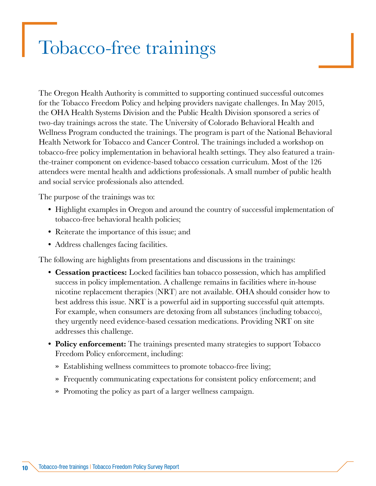## <span id="page-15-0"></span>Tobacco-free trainings

The Oregon Health Authority is committed to supporting continued successful outcomes for the Tobacco Freedom Policy and helping providers navigate challenges. In May 2015, the OHA Health Systems Division and the Public Health Division sponsored a series of two-day trainings across the state. The University of Colorado Behavioral Health and Wellness Program conducted the trainings. The program is part of the National Behavioral Health Network for Tobacco and Cancer Control. The trainings included a workshop on tobacco-free policy implementation in behavioral health settings. They also featured a trainthe-trainer component on evidence-based tobacco cessation curriculum. Most of the 126 attendees were mental health and addictions professionals. A small number of public health and social service professionals also attended.

The purpose of the trainings was to:

- Highlight examples in Oregon and around the country of successful implementation of tobacco-free behavioral health policies;
- Reiterate the importance of this issue; and
- Address challenges facing facilities.

The following are highlights from presentations and discussions in the trainings:

- Cessation practices: Locked facilities ban tobacco possession, which has amplified success in policy implementation. A challenge remains in facilities where in-house nicotine replacement therapies (NRT) are not available. OHA should consider how to best address this issue. NRT is a powerful aid in supporting successful quit attempts. For example, when consumers are detoxing from all substances (including tobacco), they urgently need evidence-based cessation medications. Providing NRT on site addresses this challenge.
- Policy enforcement: The trainings presented many strategies to support Tobacco Freedom Policy enforcement, including:
	- » Establishing wellness committees to promote tobacco-free living;
	- » Frequently communicating expectations for consistent policy enforcement; and
	- » Promoting the policy as part of a larger wellness campaign.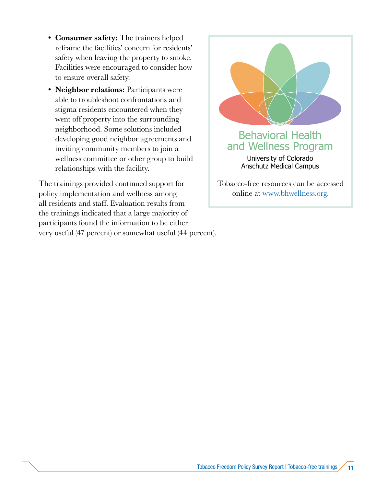- Consumer safety: The trainers helped reframe the facilities' concern for residents' safety when leaving the property to smoke. Facilities were encouraged to consider how to ensure overall safety.
- Neighbor relations: Participants were able to troubleshoot confrontations and stigma residents encountered when they went off property into the surrounding neighborhood. Some solutions included developing good neighbor agreements and inviting community members to join a wellness committee or other group to build relationships with the facility.

The trainings provided continued support for policy implementation and wellness among all residents and staff. Evaluation results from the trainings indicated that a large majority of participants found the information to be either very useful (47 percent) or somewhat useful (44 percent).



Tobacco-free resources can be accessed online at [www.bhwellness.org.](http://www.bhwellness.org)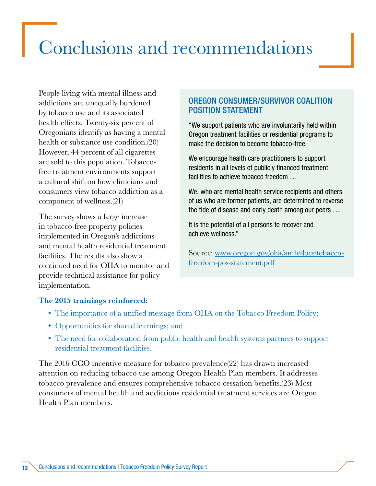# <span id="page-17-0"></span>Conclusions and recommendations

People living with mental illness and addictions are unequally burdened by tobacco use and its associated health effects. Twenty-six percent of Oregonians identify as having a mental health or substance use condition.(20) However, 44 percent of all cigarettes are sold to this population. Tobaccofree treatment environments support a cultural shift on how clinicians and consumers view tobacco addiction as a component of wellness.(21)

The survey shows a large increase in tobacco-free property policies implemented in Oregon's addictions and mental health residential treatment facilities. The results also show a continued need for OHA to monitor and provide technical assistance for policy implementation.

### OREGON CONSUMER/SURVIVOR COALITION POSITION STATEMENT

"We support patients who are involuntarily held within Oregon treatment facilities or residential programs to make the decision to become tobacco-free.

We encourage health care practitioners to support residents in all levels of publicly financed treatment facilities to achieve tobacco freedom …

We, who are mental health service recipients and others of us who are former patients, are determined to reverse the tide of disease and early death among our peers …

It is the potential of all persons to recover and achieve wellness."

Source: [www.oregon.gov/oha/amh/docs/tobacco](http://www.oregon.gov/oha/amh/docs/tobacco-freedom-pos-statement.pdf)[freedom-pos-statement.pdf](http://www.oregon.gov/oha/amh/docs/tobacco-freedom-pos-statement.pdf)

#### The 2015 trainings reinforced:

- The importance of a unified message from OHA on the Tobacco Freedom Policy;
- Opportunities for shared learnings; and
- The need for collaboration from public health and health systems partners to support residential treatment facilities.

The 2016 CCO incentive measure for tobacco prevalence(22) has drawn increased attention on reducing tobacco use among Oregon Health Plan members. It addresses tobacco prevalence and ensures comprehensive tobacco cessation benefits.(23) Most consumers of mental health and addictions residential treatment services are Oregon Health Plan members.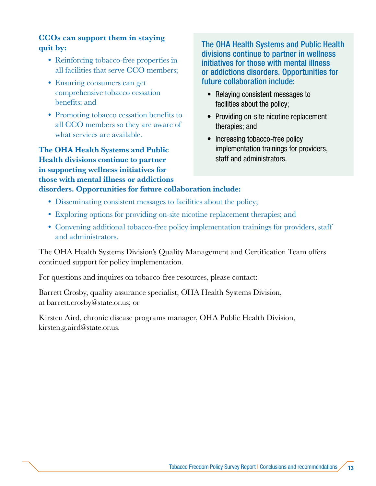### CCOs can support them in staying quit by:

- Reinforcing tobacco-free properties in all facilities that serve CCO members;
- Ensuring consumers can get comprehensive tobacco cessation benefits; and
- Promoting tobacco cessation benefits to all CCO members so they are aware of what services are available.

The OHA Health Systems and Public Health divisions continue to partner in supporting wellness initiatives for those with mental illness or addictions disorders. Opportunities for future collaboration include:

The OHA Health Systems and Public Health divisions continue to partner in wellness initiatives for those with mental illness or addictions disorders. Opportunities for future collaboration include:

- Relaying consistent messages to facilities about the policy;
- Providing on-site nicotine replacement therapies; and
- Increasing tobacco-free policy implementation trainings for providers, staff and administrators.
- Disseminating consistent messages to facilities about the policy;
- Exploring options for providing on-site nicotine replacement therapies; and
- Convening additional tobacco-free policy implementation trainings for providers, staff and administrators.

The OHA Health Systems Division's Quality Management and Certification Team offers continued support for policy implementation.

For questions and inquires on tobacco-free resources, please contact:

Barrett Crosby, quality assurance specialist, OHA Health Systems Division, at barrett.crosby@state.or.us; or

Kirsten Aird, chronic disease programs manager, OHA Public Health Division, kirsten.g.aird@state.or.us.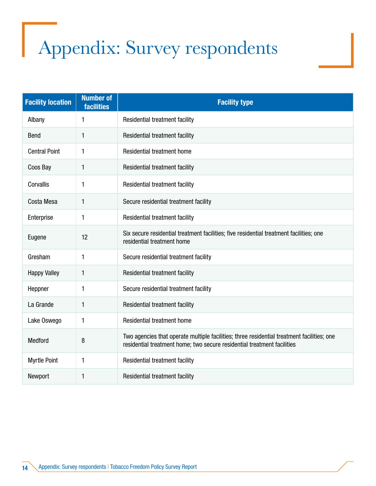# <span id="page-19-0"></span>Appendix: Survey respondents

| <b>Facility location</b> | <b>Number of</b><br><b>facilities</b> | <b>Facility type</b>                                                                                                                                                  |
|--------------------------|---------------------------------------|-----------------------------------------------------------------------------------------------------------------------------------------------------------------------|
| Albany                   | 1                                     | Residential treatment facility                                                                                                                                        |
| <b>Bend</b>              | 1                                     | Residential treatment facility                                                                                                                                        |
| <b>Central Point</b>     | $\mathbf{1}$                          | <b>Residential treatment home</b>                                                                                                                                     |
| Coos Bay                 | $\mathbf{1}$                          | Residential treatment facility                                                                                                                                        |
| Corvallis                | 1                                     | Residential treatment facility                                                                                                                                        |
| Costa Mesa               | $\mathbf{1}$                          | Secure residential treatment facility                                                                                                                                 |
| Enterprise               | $\mathbf{1}$                          | Residential treatment facility                                                                                                                                        |
| Eugene                   | 12                                    | Six secure residential treatment facilities; five residential treatment facilities; one<br>residential treatment home                                                 |
| Gresham                  | 1                                     | Secure residential treatment facility                                                                                                                                 |
| <b>Happy Valley</b>      | 1                                     | Residential treatment facility                                                                                                                                        |
| Heppner                  | 1                                     | Secure residential treatment facility                                                                                                                                 |
| La Grande                | $\mathbf{1}$                          | Residential treatment facility                                                                                                                                        |
| Lake Oswego              | 1                                     | <b>Residential treatment home</b>                                                                                                                                     |
| <b>Medford</b>           | 8                                     | Two agencies that operate multiple facilities; three residential treatment facilities; one<br>residential treatment home; two secure residential treatment facilities |
| <b>Myrtle Point</b>      | $\mathbf{1}$                          | Residential treatment facility                                                                                                                                        |
| Newport                  | $\mathbf{1}$                          | Residential treatment facility                                                                                                                                        |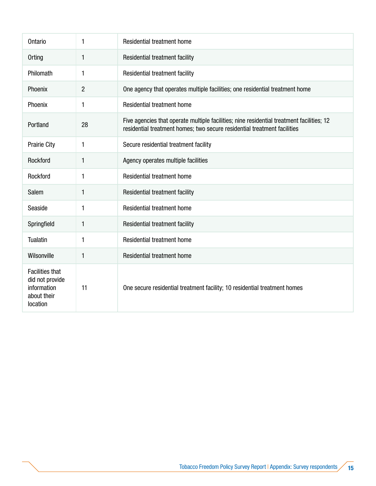| <b>Ontario</b>                                                                      | 1              | <b>Residential treatment home</b>                                                                                                                                     |
|-------------------------------------------------------------------------------------|----------------|-----------------------------------------------------------------------------------------------------------------------------------------------------------------------|
| Orting                                                                              | 1              | Residential treatment facility                                                                                                                                        |
| Philomath                                                                           | 1              | Residential treatment facility                                                                                                                                        |
| Phoenix                                                                             | $\overline{c}$ | One agency that operates multiple facilities; one residential treatment home                                                                                          |
| Phoenix                                                                             | 1              | Residential treatment home                                                                                                                                            |
| Portland                                                                            | 28             | Five agencies that operate multiple facilities; nine residential treatment facilities; 12<br>residential treatment homes; two secure residential treatment facilities |
| <b>Prairie City</b>                                                                 | 1              | Secure residential treatment facility                                                                                                                                 |
| Rockford                                                                            | 1              | Agency operates multiple facilities                                                                                                                                   |
| Rockford                                                                            | 1              | <b>Residential treatment home</b>                                                                                                                                     |
| Salem                                                                               | $\mathbf{1}$   | Residential treatment facility                                                                                                                                        |
| Seaside                                                                             | 1              | <b>Residential treatment home</b>                                                                                                                                     |
| Springfield                                                                         | 1              | Residential treatment facility                                                                                                                                        |
| Tualatin                                                                            | 1              | Residential treatment home                                                                                                                                            |
| Wilsonville                                                                         | $\mathbf{1}$   | Residential treatment home                                                                                                                                            |
| <b>Facilities that</b><br>did not provide<br>information<br>about their<br>location | 11             | One secure residential treatment facility; 10 residential treatment homes                                                                                             |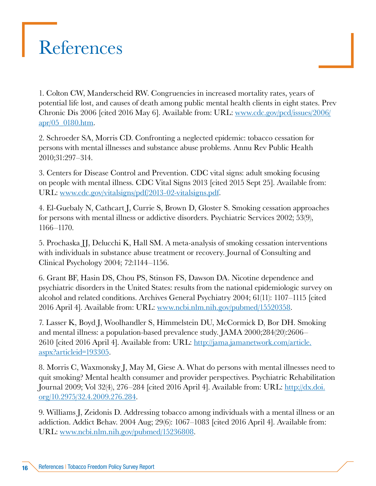# <span id="page-21-0"></span>References

1. Colton CW, Manderscheid RW. Congruencies in increased mortality rates, years of potential life lost, and causes of death among public mental health clients in eight states. Prev Chronic Dis 2006 [cited 2016 May 6]. Available from: URL: [www.cdc.gov/pcd/issues/2006/](http://www.cdc.gov/pcd/issues/2006/apr/05_0180.htm) apr/05 0180.htm.

2. Schroeder SA, Morris CD. Confronting a neglected epidemic: tobacco cessation for persons with mental illnesses and substance abuse problems. Annu Rev Public Health 2010;31:297–314.

3. Centers for Disease Control and Prevention. CDC vital signs: adult smoking focusing on people with mental illness. CDC Vital Signs 2013 [cited 2015 Sept 25]. Available from: URL: [www.cdc.gov/vitalsigns/pdf/2013-02-vitalsigns.pdf.](http://www.cdc.gov/vitalsigns/pdf/2013-02-vitalsigns.pdf)

4. El-Guebaly N, Cathcart J, Currie S, Brown D, Gloster S. Smoking cessation approaches for persons with mental illness or addictive disorders. Psychiatric Services 2002; 53(9), 1166–1170.

5. Prochaska JJ, Delucchi K, Hall SM. A meta-analysis of smoking cessation interventions with individuals in substance abuse treatment or recovery. Journal of Consulting and Clinical Psychology 2004; 72:1144–1156.

6. Grant BF, Hasin DS, Chou PS, Stinson FS, Dawson DA. Nicotine dependence and psychiatric disorders in the United States: results from the national epidemiologic survey on alcohol and related conditions. Archives General Psychiatry 2004; 61(11): 1107–1115 [cited 2016 April 4]. Available from: URL: [www.ncbi.nlm.nih.gov/pubmed/15520358](http://www.ncbi.nlm.nih.gov/pubmed/15520358).

7. Lasser K, Boyd J, Woolhandler S, Himmelstein DU, McCormick D, Bor DH. Smoking and mental illness: a population-based prevalence study. JAMA 2000;284(20):2606– 2610 [cited 2016 April 4]. Available from: URL: [http://jama.jamanetwork.com/article.](http://jama.jamanetwork.com/article.aspx?articleid=193305) [aspx?articleid=193305](http://jama.jamanetwork.com/article.aspx?articleid=193305).

8. Morris C, Waxmonsky J, May M, Giese A. What do persons with mental illnesses need to quit smoking? Mental health consumer and provider perspectives. Psychiatric Rehabilitation Journal 2009; Vol 32(4), 276–284 [cited 2016 April 4]. Available from: URL: [http://dx.doi.](http://dx.doi.org/10.2975/32.4.2009.276.284) [org/10.2975/32.4.2009.276.284](http://dx.doi.org/10.2975/32.4.2009.276.284).

9. Williams J, Zeidonis D. Addressing tobacco among individuals with a mental illness or an addiction. Addict Behav. 2004 Aug; 29(6): 1067–1083 [cited 2016 April 4]. Available from: URL: [www.ncbi.nlm.nih.gov/pubmed/15236808.](http://www.ncbi.nlm.nih.gov/pubmed/15236808)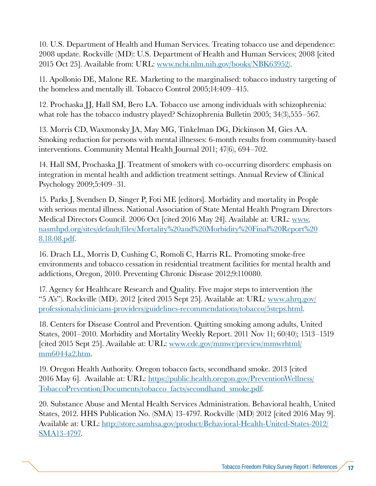10. U.S. Department of Health and Human Services. Treating tobacco use and dependence: 2008 update. Rockville (MD): U.S. Department of Health and Human Services; 2008 [cited 2015 Oct 25]. Available from: URL: [www.ncbi.nlm.nih.gov/books/NBK63952/](http://www.ncbi.nlm.nih.gov/books/NBK63952/).

11. Apollonio DE, Malone RE. Marketing to the marginalised: tobacco industry targeting of the homeless and mentally ill. Tobacco Control 2005;14:409–415.

12. Prochaska JJ, Hall SM, Bero LA. Tobacco use among individuals with schizophrenia: what role has the tobacco industry played? Schizophrenia Bulletin 2005; 34(3),555–567.

13. Morris CD, Waxmonsky JA, May MG, Tinkelman DG, Dickinson M, Gies AA. Smoking reduction for persons with mental illnesses: 6-month results from community-based interventions. Community Mental Health Journal 2011; 47(6), 694–702.

14. Hall SM, Prochaska JJ. Treatment of smokers with co-occurring disorders: emphasis on integration in mental health and addiction treatment settings. Annual Review of Clinical Psychology 2009;5:409–31.

15. Parks J, Svendsen D, Singer P, Foti ME [editors]. Morbidity and mortality in People with serious mental illness. National Association of State Mental Health Program Directors Medical Directors Council. 2006 Oct [cited 2016 May 24]. Available at: URL: [www.](http://www.nasmhpd.org/sites/default/files/Mortality%20and%20Morbidity%20Final%20Report%208.18.08.pdf) [nasmhpd.org/sites/default/files/Mortality%20and%20Morbidity%20Final%20Report%20](http://www.nasmhpd.org/sites/default/files/Mortality%20and%20Morbidity%20Final%20Report%208.18.08.pdf) [8.18.08.pdf.](http://www.nasmhpd.org/sites/default/files/Mortality%20and%20Morbidity%20Final%20Report%208.18.08.pdf)

16. Drach LL, Morris D, Cushing C, Romoli C, Harris RL. Promoting smoke-free environments and tobacco cessation in residential treatment facilities for mental health and addictions, Oregon, 2010. Preventing Chronic Disease 2012;9:110080.

17. Agency for Healthcare Research and Quality. Five major steps to intervention (the "5 A's"). Rockville (MD). 2012 [cited 2015 Sept 25]. Available at: URL: www.ahrq.gov [professionals/clinicians-providers/guidelines-recommendations/tobacco/5steps.html](http://www.ahrq.gov/professionals/clinicians-providers/guidelines-recommendations/tobacco/5steps.html).

18. Centers for Disease Control and Prevention. Quitting smoking among adults, United States, 2001–2010. Morbidity and Mortality Weekly Report. 2011 Nov 11; 60(40); 1513–1519 [cited 2015 Sept 25]. Available at: URL: [www.cdc.gov/mmwr/preview/mmwrhtml/](http://www.cdc.gov/mmwr/preview/mmwrhtml/mm6044a2.htm) [mm6044a2.htm](http://www.cdc.gov/mmwr/preview/mmwrhtml/mm6044a2.htm).

19. Oregon Health Authority. Oregon tobacco facts, secondhand smoke. 2013 [cited 2016 May 6]. Available at: URL: [https://public.health.oregon.gov/PreventionWellness/](https://public.health.oregon.gov/PreventionWellness/TobaccoPrevention/Documents/tobacco_facts/secondhand_smoke.pdf) [TobaccoPrevention/Documents/tobacco\\_facts/secondhand\\_smoke.pdf.](https://public.health.oregon.gov/PreventionWellness/TobaccoPrevention/Documents/tobacco_facts/secondhand_smoke.pdf)

20. Substance Abuse and Mental Health Services Administration. Behavioral health, United States, 2012. HHS Publication No. (SMA) 13-4797. Rockville (MD) 2012 [cited 2016 May 9]. Available at: URL: [http://store.samhsa.gov/product/Behavioral-Health-United-States-2012/](http://store.samhsa.gov/product/Behavioral-Health-United-States-2012/SMA13-4797) [SMA13-4797](http://store.samhsa.gov/product/Behavioral-Health-United-States-2012/SMA13-4797).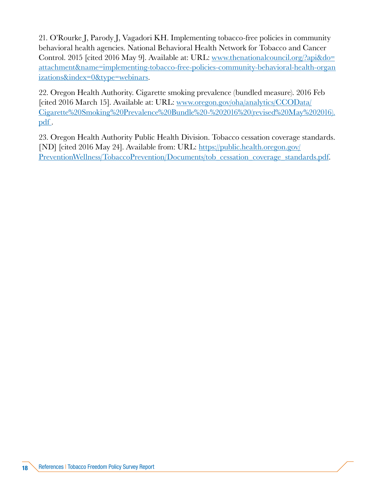21. O'Rourke J, Parody J, Vagadori KH. Implementing tobacco-free policies in community behavioral health agencies. National Behavioral Health Network for Tobacco and Cancer Control. 2015 [cited 2016 May 9]. Available at: URL: [www.thenationalcouncil.org/?api&do=](http://www.thenationalcouncil.org/?api&do=attachment&name=implementing-tobacco-free-policies-community-behavioral-health-organizations&index=0&type=webinars) [attachment&name=implementing-tobacco-free-policies-community-behavioral-health-organ](http://www.thenationalcouncil.org/?api&do=attachment&name=implementing-tobacco-free-policies-community-behavioral-health-organizations&index=0&type=webinars) [izations&index=0&type=webinars](http://www.thenationalcouncil.org/?api&do=attachment&name=implementing-tobacco-free-policies-community-behavioral-health-organizations&index=0&type=webinars).

22. Oregon Health Authority. Cigarette smoking prevalence (bundled measure). 2016 Feb [cited 2016 March 15]. Available at: URL: www.oregon.gov/oha/analytics/CCOData/ Cigarette%20Smoking%20Prevalence%20Bundle%20-%202016%20(revised%20May%202016). pdf.

23. Oregon Health Authority Public Health Division. Tobacco cessation coverage standards. [ND] [cited 2016 May 24]. Available from: URL: [https://public.health.oregon.gov/](https://public.health.oregon.gov/PreventionWellness/TobaccoPrevention/Documents/tob_cessation_coverage_standards.pdf) [PreventionWellness/TobaccoPrevention/Documents/tob\\_cessation\\_coverage\\_standards.pdf](https://public.health.oregon.gov/PreventionWellness/TobaccoPrevention/Documents/tob_cessation_coverage_standards.pdf).